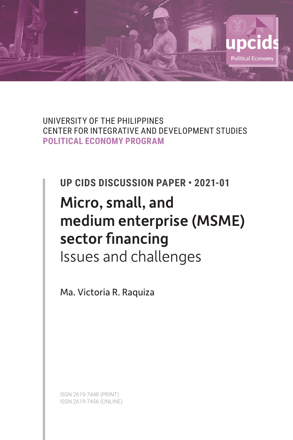

UNIVERSITY OF THE PHILIPPINES CENTER FOR INTEGRATIVE AND DEVELOPMENT STUDIES **POLITICAL ECONOMY PROGRAM**

**UP CIDS DISCUSSION PAPER • 2021-01**

# Micro, small, and medium enterprise (MSME) sector financing Issues and challenges

Ma. Victoria R. Raquiza

ISSN 2619-7448 (PRINT) ISSN 2619-7456 (ONLINE)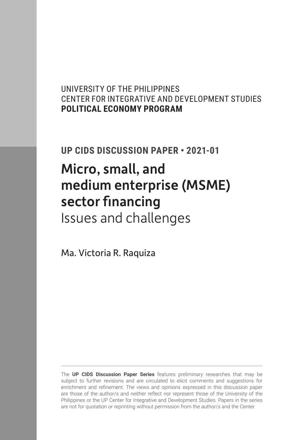# UNIVERSITY OF THE PHILIPPINES CENTER FOR INTEGRATIVE AND DEVELOPMENT STUDIES **POLITICAL ECONOMY PROGRAM**

# **UP CIDS DISCUSSION PAPER • 2021-01**

# Micro, small, and medium enterprise (MSME) sector financing Issues and challenges

Ma. Victoria R. Raquiza

The **UP CIDS Discussion Paper Series** features preliminary researches that may be subject to further revisions and are circulated to elicit comments and suggestions for enrichment and refinement. The views and opinions expressed in this discussion paper are those of the author/s and neither reflect nor represent those of the University of the Philippines or the UP Center for Integrative and Development Studies. Papers in the series are not for quotation or reprinting without permission from the author/s and the Center.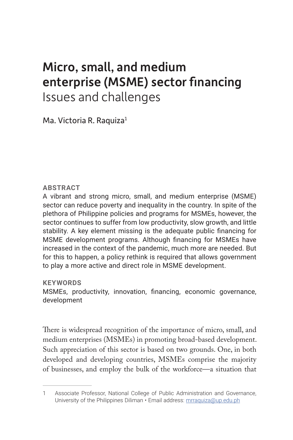# Micro, small, and medium enterprise (MSME) sector financing Issues and challenges

Ma. Victoria R. Raquiza $1$ 

## **ABSTRACT**

A vibrant and strong micro, small, and medium enterprise (MSME) sector can reduce poverty and inequality in the country. In spite of the plethora of Philippine policies and programs for MSMEs, however, the sector continues to suffer from low productivity, slow growth, and little stability. A key element missing is the adequate public financing for MSME development programs. Although financing for MSMEs have increased in the context of the pandemic, much more are needed. But for this to happen, a policy rethink is required that allows government to play a more active and direct role in MSME development.

## **KEYWORDS**

MSMEs, productivity, innovation, financing, economic governance, development

There is widespread recognition of the importance of micro, small, and medium enterprises (MSMEs) in promoting broad-based development. Such appreciation of this sector is based on two grounds. One, in both developed and developing countries, MSMEs comprise the majority of businesses, and employ the bulk of the workforce—a situation that

<sup>1</sup> Associate Professor, National College of Public Administration and Governance, University of the Philippines Diliman • Email address: [mrraquiza@up.edu.ph](mailto:mrraquiza%40up.edu.ph?subject=)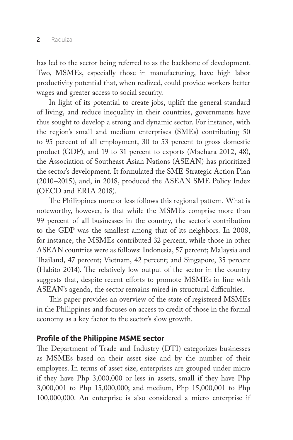has led to the sector being referred to as the backbone of development. Two, MSMEs, especially those in manufacturing, have high labor productivity potential that, when realized, could provide workers better wages and greater access to social security.

In light of its potential to create jobs, uplift the general standard of living, and reduce inequality in their countries, governments have thus sought to develop a strong and dynamic sector. For instance, with the region's small and medium enterprises (SMEs) contributing 50 to 95 percent of all employment, 30 to 53 percent to gross domestic product (GDP), and 19 to 31 percent to exports (Maehara 2012, 48), the Association of Southeast Asian Nations (ASEAN) has prioritized the sector's development. It formulated the SME Strategic Action Plan (2010–2015), and, in 2018, produced the ASEAN SME Policy Index (OECD and ERIA 2018).

The Philippines more or less follows this regional pattern. What is noteworthy, however, is that while the MSMEs comprise more than 99 percent of all businesses in the country, the sector's contribution to the GDP was the smallest among that of its neighbors. In 2008, for instance, the MSMEs contributed 32 percent, while those in other ASEAN countries were as follows: Indonesia, 57 percent; Malaysia and Thailand, 47 percent; Vietnam, 42 percent; and Singapore, 35 percent (Habito 2014). The relatively low output of the sector in the country suggests that, despite recent efforts to promote MSMEs in line with ASEAN's agenda, the sector remains mired in structural difficulties.

This paper provides an overview of the state of registered MSMEs in the Philippines and focuses on access to credit of those in the formal economy as a key factor to the sector's slow growth.

### **Profile of the Philippine MSME sector**

The Department of Trade and Industry (DTI) categorizes businesses as MSMEs based on their asset size and by the number of their employees. In terms of asset size, enterprises are grouped under micro if they have Php 3,000,000 or less in assets, small if they have Php 3,000,001 to Php 15,000,000; and medium, Php 15,000,001 to Php 100,000,000. An enterprise is also considered a micro enterprise if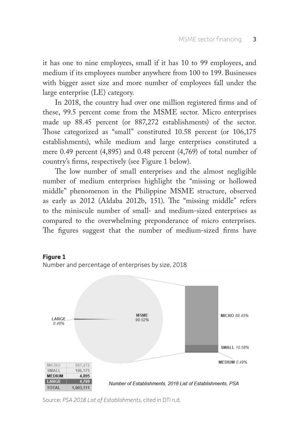it has one to nine employees, small if it has 10 to 99 employees, and medium if its employees number anywhere from 100 to 199. Businesses with bigger asset size and more number of employees fall under the large enterprise (LE) category.

In 2018, the country had over one million registered firms and of these, 99.5 percent come from the MSME sector. Micro enterprises made up 88.45 percent (or 887,272 establishments) of the sector. Those categorized as "small" constituted 10.58 percent (or 106,175 establishments), while medium and large enterprises constituted a mere 0.49 percent (4,895) and 0.48 percent (4,769) of total number of country's firms, respectively (see Figure 1 below).

The low number of small enterprises and the almost negligible number of medium enterprises highlight the "missing or hollowed middle" phenomenon in the Philippine MSME structure, observed as early as 2012 (Aldaba 2012b, 151). The "missing middle" refers to the miniscule number of small- and medium-sized enterprises as compared to the overwhelming preponderance of micro enterprises. The figures suggest that the number of medium-sized firms have



Source: *PSA 2018 List of Establishments*, cited in DTI n.d.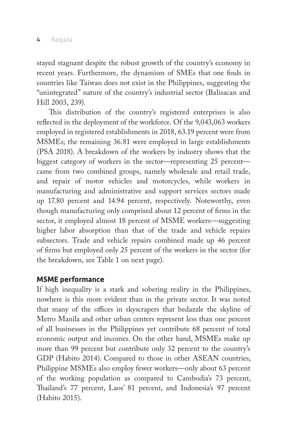stayed stagnant despite the robust growth of the country's economy in recent years. Furthermore, the dynamism of SMEs that one finds in countries like Taiwan does not exist in the Philippines, suggesting the "unintegrated" nature of the country's industrial sector (Balisacan and Hill 2003, 239).

This distribution of the country's registered enterprises is also reflected in the deployment of the workforce. Of the 9,043,063 workers employed in registered establishments in 2018, 63.19 percent were from MSMEs; the remaining 36.81 were employed in large establishments (PSA 2018). A breakdown of the workers by industry shows that the biggest category of workers in the sector—representing 25 percent came from two combined groups, namely wholesale and retail trade, and repair of motor vehicles and motorcycles, while workers in manufacturing and administrative and support services sectors made up 17.80 percent and 14.94 percent, respectively. Noteworthy, even though manufacturing only comprised about 12 percent of firms in the sector, it employed almost 18 percent of MSME workers—suggesting higher labor absorption than that of the trade and vehicle repairs subsectors. Trade and vehicle repairs combined made up 46 percent of firms but employed only 25 percent of the workers in the sector (for the breakdown, see Table 1 on next page).

## **MSME performance**

If high inequality is a stark and sobering reality in the Philippines, nowhere is this more evident than in the private sector. It was noted that many of the offices in skyscrapers that bedazzle the skyline of Metro Manila and other urban centers represent less than one percent of all businesses in the Philippines yet contribute 68 percent of total economic output and incomes. On the other hand, MSMEs make up more than 99 percent but contribute only 32 percent to the country's GDP (Habito 2014). Compared to those in other ASEAN countries, Philippine MSMEs also employ fewer workers—only about 63 percent of the working population as compared to Cambodia's 73 percent, Thailand's 77 percent, Laos' 81 percent, and Indonesia's 97 percent (Habito 2015).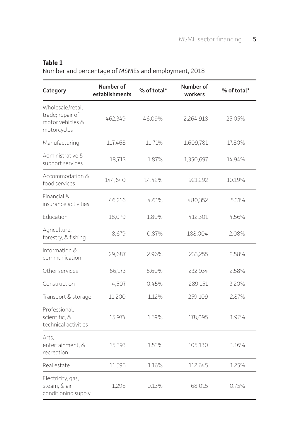## **Table 1**

Number and percentage of MSMEs and employment, 2018

| Category                                                                | Number of<br>establishments | % of total* | Number of<br>workers | % of total* |
|-------------------------------------------------------------------------|-----------------------------|-------------|----------------------|-------------|
| Wholesale/retail<br>trade; repair of<br>motor vehicles &<br>motorcycles | 462,349                     | 46.09%      | 2,264,918            | 25.05%      |
| Manufacturing                                                           | 117,468                     | 11.71%      | 1,609,781            | 17.80%      |
| Administrative &<br>support services                                    | 18,713                      | 1.87%       | 1,350,697            | 14.94%      |
| Accommodation &<br>food services                                        | 144,640                     | 14.42%      | 921,292              | 10.19%      |
| Financial &<br>insurance activities                                     | 46,216                      | 4.61%       | 480,352              | 5.31%       |
| Education                                                               | 18,079                      | 1.80%       | 412,301              | 4.56%       |
| Agriculture,<br>forestry, & fishing                                     | 8,679                       | 0.87%       | 188,004              | 2.08%       |
| Information &<br>communication                                          | 29,687                      | 2.96%       | 233,255              | 2.58%       |
| Other services                                                          | 66,173                      | 660%        | 232,934              | 2.58%       |
| Construction                                                            | 4,507                       | 0.45%       | 289,151              | 3.20%       |
| Transport & storage                                                     | 11,200                      | 1.12%       | 259,109              | 2.87%       |
| Professional,<br>scientific, &<br>technical activities                  | 15,974                      | 1.59%       | 178,095              | 1.97%       |
| Arts,<br>entertainment, &<br>recreation                                 | 15,393                      | 1.53%       | 105,130              | 1.16%       |
| Real estate                                                             | 11,595                      | 1.16%       | 112,645              | 1.25%       |
| Electricity, gas,<br>steam. & air<br>conditioning supply                | 1.298                       | 0.13%       | 68,015               | 0.75%       |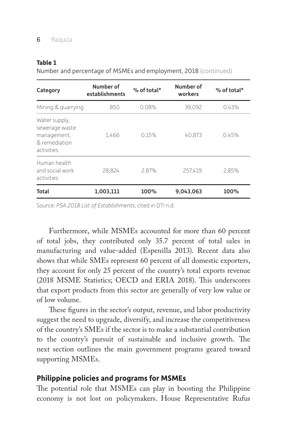#### **Table 1**

Number and percentage of MSMEs and employment, 2018 (continued)

| Category                                                                      | Number of<br>establishments | $%$ of total* | Number of<br>workers | $%$ of total* |
|-------------------------------------------------------------------------------|-----------------------------|---------------|----------------------|---------------|
| Mining & quarrying                                                            | 850                         | 0.08%         | 39,092               | 0.43%         |
| Water supply,<br>sewerage waste<br>management,<br>& remediation<br>activities | 1.466                       | 0.15%         | 40.873               | 0.45%         |
| Human health<br>and social work<br>activities                                 | 28.824                      | 2.87%         | 257.419              | 2.85%         |
| <b>Total</b>                                                                  | 1,003,111                   | 100%          | 9,043,063            | 100%          |

Source: *PSA 2018 List of Establishments*, cited in DTI n.d.

Furthermore, while MSMEs accounted for more than 60 percent of total jobs, they contributed only 35.7 percent of total sales in manufacturing and value-added (Espenilla 2013). Recent data also shows that while SMEs represent 60 percent of all domestic exporters, they account for only 25 percent of the country's total exports revenue (2018 MSME Statistics; OECD and ERIA 2018). This underscores that export products from this sector are generally of very low value or of low volume.

These figures in the sector's output, revenue, and labor productivity suggest the need to upgrade, diversify, and increase the competitiveness of the country's SMEs if the sector is to make a substantial contribution to the country's pursuit of sustainable and inclusive growth. The next section outlines the main government programs geared toward supporting MSMEs.

## **Philippine policies and programs for MSMEs**

The potential role that MSMEs can play in boosting the Philippine economy is not lost on policymakers. House Representative Rufus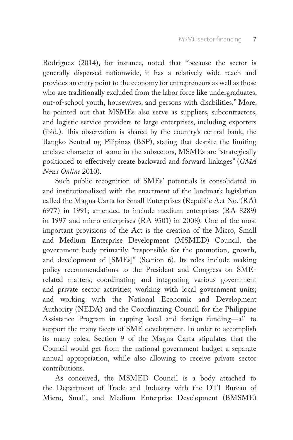Rodriguez (2014), for instance, noted that "because the sector is generally dispersed nationwide, it has a relatively wide reach and provides an entry point to the economy for entrepreneurs as well as those who are traditionally excluded from the labor force like undergraduates, out-of-school youth, housewives, and persons with disabilities." More, he pointed out that MSMEs also serve as suppliers, subcontractors, and logistic service providers to large enterprises, including exporters (ibid.). This observation is shared by the country's central bank, the Bangko Sentral ng Pilipinas (BSP), stating that despite the limiting enclave character of some in the subsectors, MSMEs are "strategically positioned to effectively create backward and forward linkages" (*GMA News Online* 2010).

Such public recognition of SMEs' potentials is consolidated in and institutionalized with the enactment of the landmark legislation called the Magna Carta for Small Enterprises (Republic Act No. (RA) 6977) in 1991; amended to include medium enterprises (RA 8289) in 1997 and micro enterprises (RA 9501) in 2008). One of the most important provisions of the Act is the creation of the Micro, Small and Medium Enterprise Development (MSMED) Council, the government body primarily "responsible for the promotion, growth, and development of [SMEs]" (Section 6). Its roles include making policy recommendations to the President and Congress on SMErelated matters; coordinating and integrating various government and private sector activities; working with local government units; and working with the National Economic and Development Authority (NEDA) and the Coordinating Council for the Philippine Assistance Program in tapping local and foreign funding—all to support the many facets of SME development. In order to accomplish its many roles, Section 9 of the Magna Carta stipulates that the Council would get from the national government budget a separate annual appropriation, while also allowing to receive private sector contributions.

As conceived, the MSMED Council is a body attached to the Department of Trade and Industry with the DTI Bureau of Micro, Small, and Medium Enterprise Development (BMSME)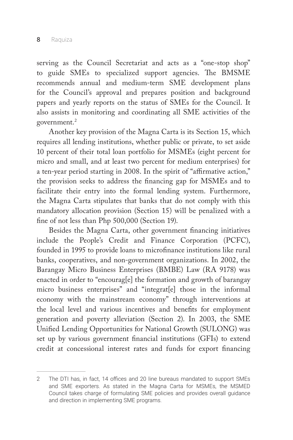serving as the Council Secretariat and acts as a "one-stop shop" to guide SMEs to specialized support agencies. The BMSME recommends annual and medium-term SME development plans for the Council's approval and prepares position and background papers and yearly reports on the status of SMEs for the Council. It also assists in monitoring and coordinating all SME activities of the government.2

Another key provision of the Magna Carta is its Section 15, which requires all lending institutions, whether public or private, to set aside 10 percent of their total loan portfolio for MSMEs (eight percent for micro and small, and at least two percent for medium enterprises) for a ten-year period starting in 2008. In the spirit of "affirmative action," the provision seeks to address the financing gap for MSMEs and to facilitate their entry into the formal lending system. Furthermore, the Magna Carta stipulates that banks that do not comply with this mandatory allocation provision (Section 15) will be penalized with a fine of not less than Php 500,000 (Section 19).

Besides the Magna Carta, other government financing initiatives include the People's Credit and Finance Corporation (PCFC), founded in 1995 to provide loans to microfinance institutions like rural banks, cooperatives, and non-government organizations. In 2002, the Barangay Micro Business Enterprises (BMBE) Law (RA 9178) was enacted in order to "encourag[e] the formation and growth of barangay micro business enterprises" and "integrat[e] those in the informal economy with the mainstream economy" through interventions at the local level and various incentives and benefits for employment generation and poverty alleviation (Section 2). In 2003, the SME Unified Lending Opportunities for National Growth (SULONG) was set up by various government financial institutions (GFIs) to extend credit at concessional interest rates and funds for export financing

<sup>2</sup> The DTI has, in fact, 14 offices and 20 line bureaus mandated to support SMEs and SME exporters. As stated in the Magna Carta for MSMEs, the MSMED Council takes charge of formulating SME policies and provides overall guidance and direction in implementing SME programs.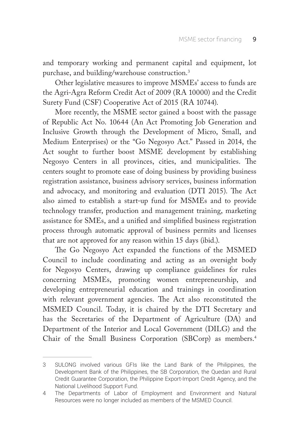and temporary working and permanent capital and equipment, lot purchase, and building/warehouse construction.3

Other legislative measures to improve MSMEs' access to funds are the Agri-Agra Reform Credit Act of 2009 (RA 10000) and the Credit Surety Fund (CSF) Cooperative Act of 2015 (RA 10744).

More recently, the MSME sector gained a boost with the passage of Republic Act No. 10644 (An Act Promoting Job Generation and Inclusive Growth through the Development of Micro, Small, and Medium Enterprises) or the "Go Negosyo Act." Passed in 2014, the Act sought to further boost MSME development by establishing Negosyo Centers in all provinces, cities, and municipalities. The centers sought to promote ease of doing business by providing business registration assistance, business advisory services, business information and advocacy, and monitoring and evaluation (DTI 2015). The Act also aimed to establish a start-up fund for MSMEs and to provide technology transfer, production and management training, marketing assistance for SMEs, and a unified and simplified business registration process through automatic approval of business permits and licenses that are not approved for any reason within 15 days (ibid.).

The Go Negosyo Act expanded the functions of the MSMED Council to include coordinating and acting as an oversight body for Negosyo Centers, drawing up compliance guidelines for rules concerning MSMEs, promoting women entrepreneurship, and developing entrepreneurial education and trainings in coordination with relevant government agencies. The Act also reconstituted the MSMED Council. Today, it is chaired by the DTI Secretary and has the Secretaries of the Department of Agriculture (DA) and Department of the Interior and Local Government (DILG) and the Chair of the Small Business Corporation (SBCorp) as members.4

<sup>3</sup> SULONG involved various GFIs like the Land Bank of the Philippines, the Development Bank of the Philippines, the SB Corporation, the Quedan and Rural Credit Guarantee Corporation, the Philippine Export-Import Credit Agency, and the National Livelihood Support Fund.

<sup>4</sup> The Departments of Labor of Employment and Environment and Natural Resources were no longer included as members of the MSMED Council.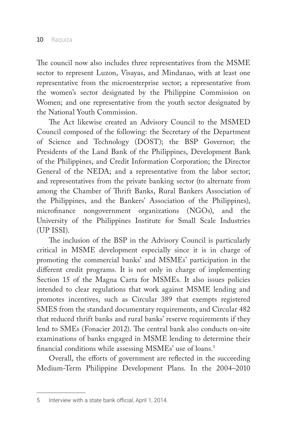The council now also includes three representatives from the MSME sector to represent Luzon, Visayas, and Mindanao, with at least one representative from the microenterprise sector; a representative from the women's sector designated by the Philippine Commission on Women; and one representative from the youth sector designated by the National Youth Commission.

The Act likewise created an Advisory Council to the MSMED Council composed of the following: the Secretary of the Department of Science and Technology (DOST); the BSP Governor; the Presidents of the Land Bank of the Philippines, Development Bank of the Philippines, and Credit Information Corporation; the Director General of the NEDA; and a representative from the labor sector; and representatives from the private banking sector (to alternate from among the Chamber of Thrift Banks, Rural Bankers Association of the Philippines, and the Bankers' Association of the Philippines), microfinance nongovernment organizations (NGOs), and the University of the Philippines Institute for Small Scale Industries (UP ISSI).

The inclusion of the BSP in the Advisory Council is particularly critical in MSME development especially since it is in charge of promoting the commercial banks' and MSMEs' participation in the different credit programs. It is not only in charge of implementing Section 15 of the Magna Carta for MSMEs. It also issues policies intended to clear regulations that work against MSME lending and promotes incentives, such as Circular 389 that exempts registered SMES from the standard documentary requirements, and Circular 482 that reduced thrift banks and rural banks' reserve requirements if they lend to SMEs (Fonacier 2012). The central bank also conducts on-site examinations of banks engaged in MSME lending to determine their financial conditions while assessing MSMEs' use of loans.5

Overall, the efforts of government are reflected in the succeeding Medium-Term Philippine Development Plans. In the 2004–2010

<sup>5</sup> Interview with a state bank official, April 1, 2014.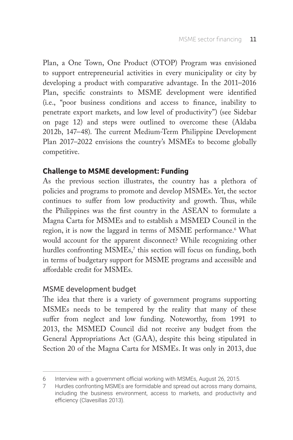Plan, a One Town, One Product (OTOP) Program was envisioned to support entrepreneurial activities in every municipality or city by developing a product with comparative advantage. In the 2011–2016 Plan, specific constraints to MSME development were identified (i.e., "poor business conditions and access to finance, inability to penetrate export markets, and low level of productivity") (see Sidebar on page 12) and steps were outlined to overcome these (Aldaba 2012b, 147–48). The current Medium-Term Philippine Development Plan 2017–2022 envisions the country's MSMEs to become globally competitive.

## **Challenge to MSME development: Funding**

As the previous section illustrates, the country has a plethora of policies and programs to promote and develop MSMEs. Yet, the sector continues to suffer from low productivity and growth. Thus, while the Philippines was the first country in the ASEAN to formulate a Magna Carta for MSMEs and to establish a MSMED Council in the region, it is now the laggard in terms of MSME performance.6 What would account for the apparent disconnect? While recognizing other hurdles confronting  $\mathrm{MSMEs},^7$  this section will focus on funding, both in terms of budgetary support for MSME programs and accessible and affordable credit for MSMEs.

## MSME development budget

The idea that there is a variety of government programs supporting MSMEs needs to be tempered by the reality that many of these suffer from neglect and low funding. Noteworthy, from 1991 to 2013, the MSMED Council did not receive any budget from the General Appropriations Act (GAA), despite this being stipulated in Section 20 of the Magna Carta for MSMEs. It was only in 2013, due

<sup>6</sup> Interview with a government official working with MSMEs, August 26, 2015.

<sup>7</sup> Hurdles confronting MSMEs are formidable and spread out across many domains, including the business environment, access to markets, and productivity and efficiency (Clavesillas 2013).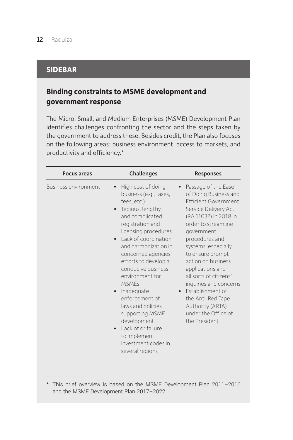## **SIDEBAR**

# **Binding constraints to MSME development and government response**

The Micro, Small, and Medium Enterprises (MSME) Development Plan identifies challenges confronting the sector and the steps taken by the government to address these. Besides credit, the Plan also focuses on the following areas: business environment, access to markets, and productivity and efficiency.\*

| <b>Focus areas</b>          | <b>Challenges</b>                                                                                                                                                                                                                                                                                                                                                                                                                                                              | <b>Responses</b>                                                                                                                                                                                                                                                                                                                                                                                                                    |
|-----------------------------|--------------------------------------------------------------------------------------------------------------------------------------------------------------------------------------------------------------------------------------------------------------------------------------------------------------------------------------------------------------------------------------------------------------------------------------------------------------------------------|-------------------------------------------------------------------------------------------------------------------------------------------------------------------------------------------------------------------------------------------------------------------------------------------------------------------------------------------------------------------------------------------------------------------------------------|
| <b>Business environment</b> | High cost of doing<br>business (e.g., taxes,<br>fees, etc.)<br>Tedious, lengthy,<br>and complicated<br>registration and<br>licensing procedures<br>Lack of coordination<br>and harmonization in<br>concerned agencies'<br>efforts to develop a<br>conducive business<br>environment for<br><b>MSMEs</b><br>Inadequate<br>enforcement of<br>laws and policies<br>supporting MSME<br>development<br>Lack of or failure<br>to implement<br>investment codes in<br>several regions | Passage of the Ease<br>of Doing Business and<br><b>Ffficient Government</b><br>Service Delivery Act<br>(RA 11032) in 2018 in<br>order to streamline<br>government<br>procedures and<br>systems, especially<br>to ensure prompt<br>action on business<br>applications and<br>all sorts of citizens'<br>inquiries and concerns<br>• Fstablishment of<br>the Anti-Red Tape<br>Authority (ARTA)<br>under the Office of<br>the President |

<sup>\*</sup> This brief overview is based on the MSME Development Plan 2011–2016 and the MSME Development Plan 2017–2022.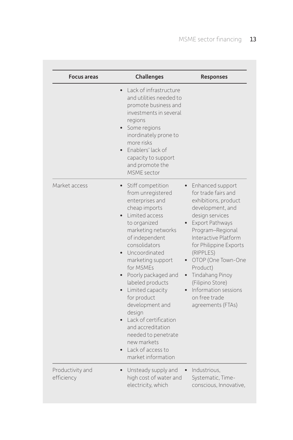| <b>Focus areas</b>             | Challenges                                                                                                                                                                                                                                                                                                                                                                                                                                                         | <b>Responses</b>                                                                                                                                                                                                                                                                                                                                    |
|--------------------------------|--------------------------------------------------------------------------------------------------------------------------------------------------------------------------------------------------------------------------------------------------------------------------------------------------------------------------------------------------------------------------------------------------------------------------------------------------------------------|-----------------------------------------------------------------------------------------------------------------------------------------------------------------------------------------------------------------------------------------------------------------------------------------------------------------------------------------------------|
|                                | Lack of infrastructure<br>and utilities needed to<br>promote business and<br>investments in several<br>regions<br>Some regions<br>inordinately prone to<br>more risks<br>Enablers' lack of<br>capacity to support<br>and promote the<br>MSMF sector                                                                                                                                                                                                                |                                                                                                                                                                                                                                                                                                                                                     |
| Market access                  | Stiff competition<br>from unregistered<br>enterprises and<br>cheap imports<br>Limited access<br>to organized<br>marketing networks<br>of independent<br>consolidators<br>Uncoordinated<br>marketing support<br>for MSMEs<br>Poorly packaged and<br>labeled products<br>Limited capacity<br>for product<br>development and<br>design<br>Lack of certification<br>and accreditation<br>needed to penetrate<br>new markets<br>Lack of access to<br>market information | Enhanced support<br>for trade fairs and<br>exhibitions, product<br>development, and<br>design services<br>Export Pathways<br>Program-Regional<br>Interactive Platform<br>for Philippine Exports<br>(RIPPLES)<br>OTOP (One Town-One<br>Product)<br>Tindahang Pinoy<br>(Filipino Store)<br>Information sessions<br>on free trade<br>agreements (FTAs) |
| Productivity and<br>efficiency | Unsteady supply and<br>high cost of water and<br>electricity, which                                                                                                                                                                                                                                                                                                                                                                                                | Industrious,<br>Systematic, Time-<br>conscious, Innovative,                                                                                                                                                                                                                                                                                         |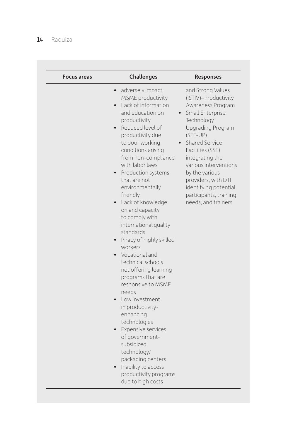# 14 Raquiza

| <b>Focus areas</b> | Challenges                                                                                                                                                                                                                                                                                                                                                                                                                                                                                                                                                                                                                                                                                                                                                                                                                                                                                 | <b>Responses</b>                                                                                                                                                                                                                                                                                                                       |
|--------------------|--------------------------------------------------------------------------------------------------------------------------------------------------------------------------------------------------------------------------------------------------------------------------------------------------------------------------------------------------------------------------------------------------------------------------------------------------------------------------------------------------------------------------------------------------------------------------------------------------------------------------------------------------------------------------------------------------------------------------------------------------------------------------------------------------------------------------------------------------------------------------------------------|----------------------------------------------------------------------------------------------------------------------------------------------------------------------------------------------------------------------------------------------------------------------------------------------------------------------------------------|
|                    | adversely impact<br>MSME productivity<br>Lack of information<br>$\bullet$<br>and education on<br>productivity<br>Reduced level of<br>$\bullet$<br>productivity due<br>to poor working<br>conditions arising<br>from non-compliance<br>with labor laws<br>Production systems<br>$\bullet$<br>that are not<br>environmentally<br>friendly<br>Lack of knowledge<br>$\bullet$<br>on and capacity<br>to comply with<br>international quality<br>standards<br>Piracy of highly skilled<br>workers<br>• Vocational and<br>technical schools<br>not offering learning<br>programs that are<br>responsive to MSME<br>needs<br>Low investment<br>$\bullet$<br>in productivity-<br>enhancing<br>technologies<br>Expensive services<br>$\bullet$<br>of government-<br>subsidized<br>technology/<br>packaging centers<br>Inability to access<br>$\bullet$<br>productivity programs<br>due to high costs | and Strong Values<br>(ISTIV)-Productivity<br>Awareness Program<br>Small Enterprise<br>Technology<br>Upgrading Program<br>(SET-UP)<br>Shared Service<br>Facilities (SSF)<br>integrating the<br>various interventions<br>by the various<br>providers, with DTI<br>identifying potential<br>participants, training<br>needs, and trainers |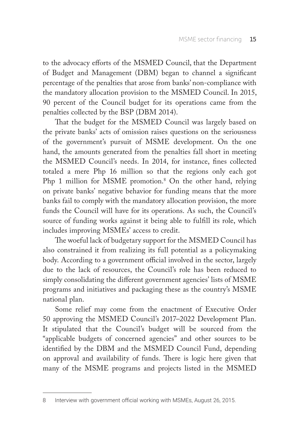to the advocacy efforts of the MSMED Council, that the Department of Budget and Management (DBM) began to channel a significant percentage of the penalties that arose from banks' non-compliance with the mandatory allocation provision to the MSMED Council. In 2015, 90 percent of the Council budget for its operations came from the penalties collected by the BSP (DBM 2014).

That the budget for the MSMED Council was largely based on the private banks' acts of omission raises questions on the seriousness of the government's pursuit of MSME development. On the one hand, the amounts generated from the penalties fall short in meeting the MSMED Council's needs. In 2014, for instance, fines collected totaled a mere Php 16 million so that the regions only each got Php 1 million for MSME promotion.<sup>8</sup> On the other hand, relying on private banks' negative behavior for funding means that the more banks fail to comply with the mandatory allocation provision, the more funds the Council will have for its operations. As such, the Council's source of funding works against it being able to fulfill its role, which includes improving MSMEs' access to credit.

The woeful lack of budgetary support for the MSMED Council has also constrained it from realizing its full potential as a policymaking body. According to a government official involved in the sector, largely due to the lack of resources, the Council's role has been reduced to simply consolidating the different government agencies' lists of MSME programs and initiatives and packaging these as the country's MSME national plan.

Some relief may come from the enactment of Executive Order 50 approving the MSMED Council's 2017–2022 Development Plan. It stipulated that the Council's budget will be sourced from the "applicable budgets of concerned agencies" and other sources to be identified by the DBM and the MSMED Council Fund, depending on approval and availability of funds. There is logic here given that many of the MSME programs and projects listed in the MSMED

<sup>8</sup> Interview with government official working with MSMEs, August 26, 2015.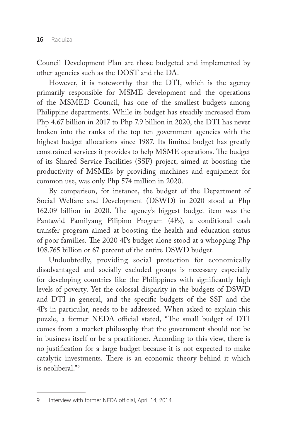Council Development Plan are those budgeted and implemented by other agencies such as the DOST and the DA.

However, it is noteworthy that the DTI, which is the agency primarily responsible for MSME development and the operations of the MSMED Council, has one of the smallest budgets among Philippine departments. While its budget has steadily increased from Php 4.67 billion in 2017 to Php 7.9 billion in 2020, the DTI has never broken into the ranks of the top ten government agencies with the highest budget allocations since 1987. Its limited budget has greatly constrained services it provides to help MSME operations. The budget of its Shared Service Facilities (SSF) project, aimed at boosting the productivity of MSMEs by providing machines and equipment for common use, was only Php 574 million in 2020.

By comparison, for instance, the budget of the Department of Social Welfare and Development (DSWD) in 2020 stood at Php 162.09 billion in 2020. The agency's biggest budget item was the Pantawid Pamilyang Pilipino Program (4Ps), a conditional cash transfer program aimed at boosting the health and education status of poor families. The 2020 4Ps budget alone stood at a whopping Php 108.765 billion or 67 percent of the entire DSWD budget.

Undoubtedly, providing social protection for economically disadvantaged and socially excluded groups is necessary especially for developing countries like the Philippines with significantly high levels of poverty. Yet the colossal disparity in the budgets of DSWD and DTI in general, and the specific budgets of the SSF and the 4Ps in particular, needs to be addressed. When asked to explain this puzzle, a former NEDA official stated, "The small budget of DTI comes from a market philosophy that the government should not be in business itself or be a practitioner. According to this view, there is no justification for a large budget because it is not expected to make catalytic investments. There is an economic theory behind it which is neoliberal."9

<sup>9</sup> Interview with former NEDA official, April 14, 2014.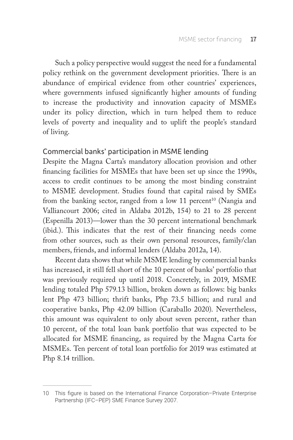Such a policy perspective would suggest the need for a fundamental policy rethink on the government development priorities. There is an abundance of empirical evidence from other countries' experiences, where governments infused significantly higher amounts of funding to increase the productivity and innovation capacity of MSMEs under its policy direction, which in turn helped them to reduce levels of poverty and inequality and to uplift the people's standard of living.

## Commercial banks' participation in MSME lending

Despite the Magna Carta's mandatory allocation provision and other financing facilities for MSMEs that have been set up since the 1990s, access to credit continues to be among the most binding constraint to MSME development. Studies found that capital raised by SMEs from the banking sector, ranged from a low 11 percent<sup>10</sup> (Nangia and Valliancourt 2006; cited in Aldaba 2012b, 154) to 21 to 28 percent (Espenilla 2013)—lower than the 30 percent international benchmark (ibid.). This indicates that the rest of their financing needs come from other sources, such as their own personal resources, family/clan members, friends, and informal lenders (Aldaba 2012a, 14).

Recent data shows that while MSME lending by commercial banks has increased, it still fell short of the 10 percent of banks' portfolio that was previously required up until 2018. Concretely, in 2019, MSME lending totaled Php 579.13 billion, broken down as follows: big banks lent Php 473 billion; thrift banks, Php 73.5 billion; and rural and cooperative banks, Php 42.09 billion (Caraballo 2020). Nevertheless, this amount was equivalent to only about seven percent, rather than 10 percent, of the total loan bank portfolio that was expected to be allocated for MSME financing, as required by the Magna Carta for MSMEs. Ten percent of total loan portfolio for 2019 was estimated at Php 8.14 trillion.

<sup>10</sup> This figure is based on the International Finance Corporation–Private Enterprise Partnership (IFC–PEP) SME Finance Survey 2007.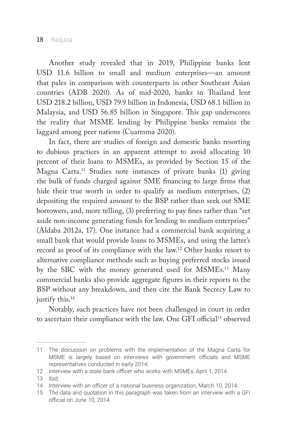Another study revealed that in 2019, Philippine banks lent USD 11.6 billion to small and medium enterprises—an amount that pales in comparison with counterparts in other Southeast Asian countries (ADB 2020). As of mid-2020, banks in Thailand lent USD 218.2 billion, USD 79.9 billion in Indonesia, USD 68.1 billion in Malaysia, and USD 56.85 billion in Singapore. This gap underscores the reality that MSME lending by Philippine banks remains the laggard among peer nations (Cuaresma 2020).

In fact, there are studies of foreign and domestic banks resorting to dubious practices in an apparent attempt to avoid allocating 10 percent of their loans to MSMEs, as provided by Section 15 of the Magna Carta.11 Studies note instances of private banks (1) giving the bulk of funds charged against SME financing to large firms that hide their true worth in order to qualify as medium enterprises, (2) depositing the required amount to the BSP rather than seek out SME borrowers, and, more telling, (3) preferring to pay fines rather than "set aside non-income generating funds for lending to medium enterprises" (Aldaba 2012a, 17). One instance had a commercial bank acquiring a small bank that would provide loans to MSMEs, and using the latter's record as proof of its compliance with the law.12 Other banks resort to alternative compliance methods such as buying preferred stocks issued by the SBC with the money generated used for MSMEs.13 Many commercial banks also provide aggregate figures in their reports to the BSP without any breakdown, and then cite the Bank Secrecy Law to justify this.<sup>14</sup>

Notably, such practices have not been challenged in court in order to ascertain their compliance with the law. One GFI official<sup>15</sup> observed

<sup>11</sup> The discussion on problems with the implementation of the Magna Carta for MSME is largely based on interviews with government officials and MSME representatives conducted in early 2014.

<sup>12</sup> Interview with a state bank officer who works with MSMEs, April 1, 2014.

<sup>13</sup> Ibid.

<sup>14</sup> Interview with an officer of a national business organization, March 10, 2014.

<sup>15</sup> The data and quotation in this paragraph was taken from an interview with a GFI official on June 10, 2014.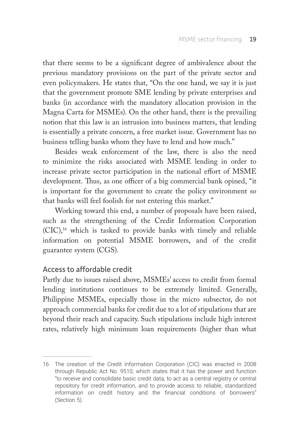that there seems to be a significant degree of ambivalence about the previous mandatory provisions on the part of the private sector and even policymakers. He states that, "On the one hand, we say it is just that the government promote SME lending by private enterprises and banks (in accordance with the mandatory allocation provision in the Magna Carta for MSMEs). On the other hand, there is the prevailing notion that this law is an intrusion into business matters, that lending is essentially a private concern, a free market issue. Government has no business telling banks whom they have to lend and how much."

Besides weak enforcement of the law, there is also the need to minimize the risks associated with MSME lending in order to increase private sector participation in the national effort of MSME development. Thus, as one officer of a big commercial bank opined, "it is important for the government to create the policy environment so that banks will feel foolish for not entering this market."

Working toward this end, a number of proposals have been raised, such as the strengthening of the Credit Information Corporation (CIC),16 which is tasked to provide banks with timely and reliable information on potential MSME borrowers, and of the credit guarantee system (CGS).

## Access to affordable credit

Partly due to issues raised above, MSMEs' access to credit from formal lending institutions continues to be extremely limited. Generally, Philippine MSMEs, especially those in the micro subsector, do not approach commercial banks for credit due to a lot of stipulations that are beyond their reach and capacity. Such stipulations include high interest rates, relatively high minimum loan requirements (higher than what

<sup>16</sup> The creation of the Credit Information Corporation (CIC) was enacted in 2008 through Republic Act No. 9510, which states that it has the power and function "to receive and consolidate basic credit data, to act as a central registry or central repository for credit information, and to provide access to reliable, standardized information on credit history and the financial conditions of borrowers" (Section 5).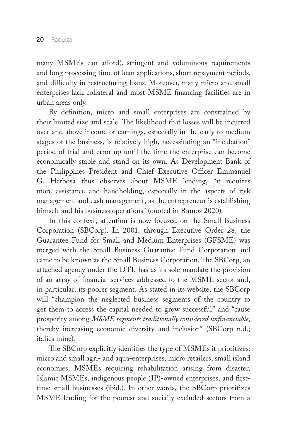many MSMEs can afford), stringent and voluminous requirements and long processing time of loan applications, short repayment periods, and difficulty in restructuring loans. Moreover, many micro and small enterprises lack collateral and most MSME financing facilities are in urban areas only.

By definition, micro and small enterprises are constrained by their limited size and scale. The likelihood that losses will be incurred over and above income or earnings, especially in the early to medium stages of the business, is relatively high, necessitating an "incubation" period of trial and error up until the time the enterprise can become economically stable and stand on its own. As Development Bank of the Philippines President and Chief Executive Officer Emmanuel G. Herbosa thus observes about MSME lending, "it requires more assistance and handholding, especially in the aspects of risk management and cash management, as the entrepreneur is establishing himself and his business operations" (quoted in Ramos 2020).

In this context, attention is now focused on the Small Business Corporation (SBCorp). In 2001, through Executive Order 28, the Guarantee Fund for Small and Medium Enterprises (GFSME) was merged with the Small Business Guarantee Fund Corporation and came to be known as the Small Business Corporation. The SBCorp, an attached agency under the DTI, has as its sole mandate the provision of an array of financial services addressed to the MSME sector and, in particular, its poorer segment. As stated in its website, the SBCorp will "champion the neglected business segments of the country to get them to access the capital needed to grow successful" and "cause prosperity among *MSME segments traditionally considered unfinanciable*, thereby increasing economic diversity and inclusion" (SBCorp n.d.; italics mine).

The SBCorp explicitly identifies the type of MSMEs it prioritizes: micro and small agri- and aqua-enterprises, micro retailers, small island economies, MSMEs requiring rehabilitation arising from disaster, Islamic MSMEs, indigenous people (IP)-owned enterprises, and firsttime small businesses (ibid.). In other words, the SBCorp prioritizes MSME lending for the poorest and socially excluded sectors from a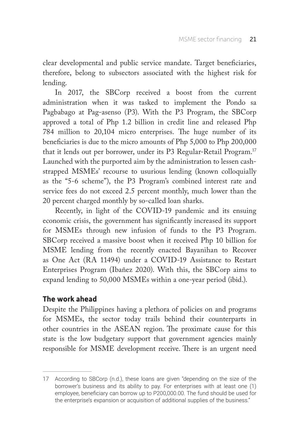clear developmental and public service mandate. Target beneficiaries, therefore, belong to subsectors associated with the highest risk for lending.

In 2017, the SBCorp received a boost from the current administration when it was tasked to implement the Pondo sa Pagbabago at Pag-asenso (P3). With the P3 Program, the SBCorp approved a total of Php 1.2 billion in credit line and released Php 784 million to 20,104 micro enterprises. The huge number of its beneficiaries is due to the micro amounts of Php 5,000 to Php 200,000 that it lends out per borrower, under its P3 Regular-Retail Program.17 Launched with the purported aim by the administration to lessen cashstrapped MSMEs' recourse to usurious lending (known colloquially as the "5-6 scheme"), the P3 Program's combined interest rate and service fees do not exceed 2.5 percent monthly, much lower than the 20 percent charged monthly by so-called loan sharks.

Recently, in light of the COVID-19 pandemic and its ensuing economic crisis, the government has significantly increased its support for MSMEs through new infusion of funds to the P3 Program. SBCorp received a massive boost when it received Php 10 billion for MSME lending from the recently enacted Bayanihan to Recover as One Act (RA 11494) under a COVID-19 Assistance to Restart Enterprises Program (Ibañez 2020). With this, the SBCorp aims to expand lending to 50,000 MSMEs within a one-year period (ibid.).

## **The work ahead**

Despite the Philippines having a plethora of policies on and programs for MSMEs, the sector today trails behind their counterparts in other countries in the ASEAN region. The proximate cause for this state is the low budgetary support that government agencies mainly responsible for MSME development receive. There is an urgent need

<sup>17</sup> According to SBCorp (n.d.), these loans are given "depending on the size of the borrower's business and its ability to pay. For enterprises with at least one (1) employee, beneficiary can borrow up to P200,000.00. The fund should be used for the enterprise's expansion or acquisition of additional supplies of the business."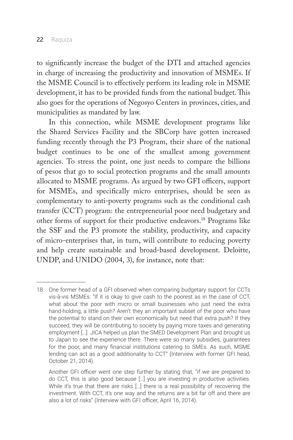to significantly increase the budget of the DTI and attached agencies in charge of increasing the productivity and innovation of MSMEs. If the MSME Council is to effectively perform its leading role in MSME development, it has to be provided funds from the national budget. This also goes for the operations of Negosyo Centers in provinces, cities, and municipalities as mandated by law.

In this connection, while MSME development programs like the Shared Services Facility and the SBCorp have gotten increased funding recently through the P3 Program, their share of the national budget continues to be one of the smallest among government agencies. To stress the point, one just needs to compare the billions of pesos that go to social protection programs and the small amounts allocated to MSME programs. As argued by two GFI officers, support for MSMEs, and specifically micro enterprises, should be seen as complementary to anti-poverty programs such as the conditional cash transfer (CCT) program: the entrepreneurial poor need budgetary and other forms of support for their productive endeavors.18 Programs like the SSF and the P3 promote the stability, productivity, and capacity of micro-enterprises that, in turn, will contribute to reducing poverty and help create sustainable and broad-based development. Deloitte, UNDP, and UNIDO (2004, 3), for instance, note that:

<sup>18</sup> One former head of a GFI observed when comparing budgetary support for CCTs vis-à-vis MSMEs: "If it is okay to give cash to the poorest as in the case of CCT, what about the poor with micro or small businesses who just need the extra hand-holding, a little push? Aren't they an important subset of the poor who have the potential to stand on their own economically but need that extra push? If they succeed, they will be contributing to society by paying more taxes and generating employment […]. JICA helped us plan the SMED Development Plan and brought us to Japan to see the experience there. There were so many subsidies, guarantees for the poor, and many financial institutions catering to SMEs. As such, MSME lending can act as a good additionality to CCT" (Interview with former GFI head, October 21, 2014).

Another GFI officer went one step further by stating that, "if we are prepared to do CCT, this is also good because […] you are investing in productive activities. While it's true that there are risks [...] there is a real possibility of recovering the investment. With CCT, it's one way and the returns are a bit far off and there are also a lot of risks" (Interview with GFI officer, April 16, 2014).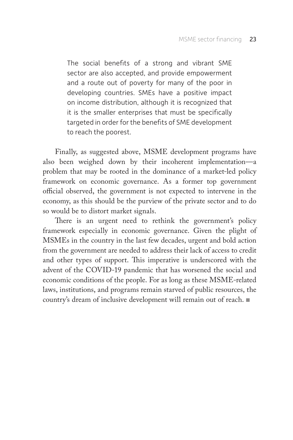The social benefits of a strong and vibrant SME sector are also accepted, and provide empowerment and a route out of poverty for many of the poor in developing countries. SMEs have a positive impact on income distribution, although it is recognized that it is the smaller enterprises that must be specifically targeted in order for the benefits of SME development to reach the poorest.

Finally, as suggested above, MSME development programs have also been weighed down by their incoherent implementation—a problem that may be rooted in the dominance of a market-led policy framework on economic governance. As a former top government official observed, the government is not expected to intervene in the economy, as this should be the purview of the private sector and to do so would be to distort market signals.

There is an urgent need to rethink the government's policy framework especially in economic governance. Given the plight of MSMEs in the country in the last few decades, urgent and bold action from the government are needed to address their lack of access to credit and other types of support. This imperative is underscored with the advent of the COVID-19 pandemic that has worsened the social and economic conditions of the people. For as long as these MSME-related laws, institutions, and programs remain starved of public resources, the country's dream of inclusive development will remain out of reach.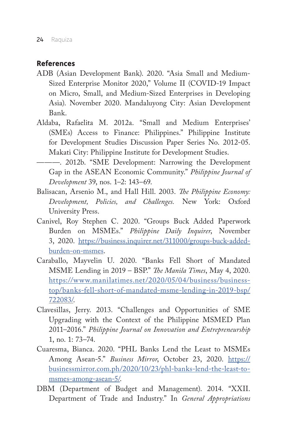## **References**

- ADB (Asian Development Bank). 2020. "Asia Small and Medium-Sized Enterprise Monitor 2020," Volume II (COVID-19 Impact on Micro, Small, and Medium-Sized Enterprises in Developing Asia). November 2020. Mandaluyong City: Asian Development Bank.
- Aldaba, Rafaelita M. 2012a. "Small and Medium Enterprises' (SMEs) Access to Finance: Philippines." Philippine Institute for Development Studies Discussion Paper Series No. 2012-05. Makati City: Philippine Institute for Development Studies.
- ———. 2012b. "SME Development: Narrowing the Development Gap in the ASEAN Economic Community." *Philippine Journal of Development* 39, nos. 1–2: 143–69.
- Balisacan, Arsenio M., and Hall Hill. 2003. *The Philippine Economy: Development, Policies, and Challenges.* New York: Oxford University Press.
- Canivel, Roy Stephen C. 2020. "Groups Buck Added Paperwork Burden on MSMEs." *Philippine Daily Inquirer*, November 3, 2020. [https://business.inquirer.net/311000/groups-buck-added](https://business.inquirer.net/311000/groups-buck-added-burden-on-msmes)[burden-on-msmes.](https://business.inquirer.net/311000/groups-buck-added-burden-on-msmes)
- Caraballo, Mayvelin U. 2020. "Banks Fell Short of Mandated MSME Lending in 2019 – BSP." *The Manila Times*, May 4, 2020. [https://www.manilatimes.net/2020/05/04/business/business](https://www.manilatimes.net/2020/05/04/business/business-top/banks-fell-short-of-mandated-msme-lending-in-2019-bsp/722083/)[top/banks-fell-short-of-mandated-msme-lending-in-2019-bsp/](https://www.manilatimes.net/2020/05/04/business/business-top/banks-fell-short-of-mandated-msme-lending-in-2019-bsp/722083/) [722083/.](https://www.manilatimes.net/2020/05/04/business/business-top/banks-fell-short-of-mandated-msme-lending-in-2019-bsp/722083/)
- Clavesillas, Jerry. 2013. "Challenges and Opportunities of SME Upgrading with the Context of the Philippine MSMED Plan 2011–2016." *Philippine Journal on Innovation and Entrepreneurship* 1, no. 1: 73–74.
- Cuaresma, Bianca. 2020. "PHL Banks Lend the Least to MSMEs Among Asean-5." *Business Mirror*, October 23, 2020. [https://](https://businessmirror.com.ph/2020/10/23/phl-banks-lend-the-least-to-msmes-among-asean-5/) [businessmirror.com.ph/2020/10/23/phl-banks-lend-the-least-to](https://businessmirror.com.ph/2020/10/23/phl-banks-lend-the-least-to-msmes-among-asean-5/)[msmes-among-asean-5/.](https://businessmirror.com.ph/2020/10/23/phl-banks-lend-the-least-to-msmes-among-asean-5/)
- DBM (Department of Budget and Management). 2014. "XXII. Department of Trade and Industry." In *General Appropriations*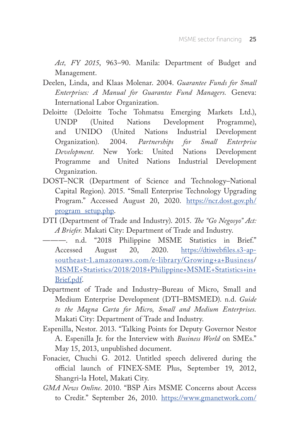*Act, FY 2015*, 963–90. Manila: Department of Budget and Management.

- Deelen, Linda, and Klaas Molenar. 2004. *Guarantee Funds for Small Enterprises: A Manual for Guarantee Fund Managers.* Geneva: International Labor Organization.
- Deloitte (Deloitte Toche Tohmatsu Emerging Markets Ltd.), UNDP (United Nations Development Programme), and UNIDO (United Nations Industrial Development Organization). 2004. *Partnerships for Small Enterprise Development.* New York: United Nations Development Programme and United Nations Industrial Development Organization.
- DOST–NCR (Department of Science and Technology–National Capital Region). 2015. "Small Enterprise Technology Upgrading Program." Accessed August 20, 2020. [https://ncr.dost.gov.ph/](https://ncr.dost.gov.ph/program_setup.php) [program\\_setup.php.](https://ncr.dost.gov.ph/program_setup.php)
- DTI (Department of Trade and Industry). 2015. *The "Go Negosyo" Act: A Briefer.* Makati City: Department of Trade and Industry.
- ———. n.d. "2018 Philippine MSME Statistics in Brief." Accessed August 20, 2020. [https://dtiwebfiles.s3-ap](https://dtiwebfiles.s3-ap-southeast-1.amazonaws.com/e-library/Growing+a+Business)[southeast-1.amazonaws.com/e-library/Growing+a+Business](https://dtiwebfiles.s3-ap-southeast-1.amazonaws.com/e-library/Growing+a+Business)/ [MSME+Statistics/2018/2018+Philippine+MSME+Statistics+in+](http://MSME+Statistics/2018/2018+Philippine+MSME+Statistics+in+ Brief.pdf)  [Brief.pdf.](http://MSME+Statistics/2018/2018+Philippine+MSME+Statistics+in+ Brief.pdf)
- Department of Trade and Industry–Bureau of Micro, Small and Medium Enterprise Development (DTI–BMSMED). n.d. *Guide to the Magna Carta for Micro, Small and Medium Enterprises.* Makati City: Department of Trade and Industry.
- Espenilla, Nestor. 2013. "Talking Points for Deputy Governor Nestor A. Espenilla Jr. for the Interview with *Business World* on SMEs." May 15, 2013, unpublished document.
- Fonacier, Chuchi G. 2012. Untitled speech delivered during the official launch of FINEX-SME Plus, September 19, 2012, Shangri-la Hotel, Makati City.
- *GMA News Online*. 2010. "BSP Airs MSME Concerns about Access to Credit." September 26, 2010. [https://www.gmanetwork.com/](https://www.gmanetwork.com/news/money/content/201976/bsp-airs-msme-concerns-about-access-to-credit/story/)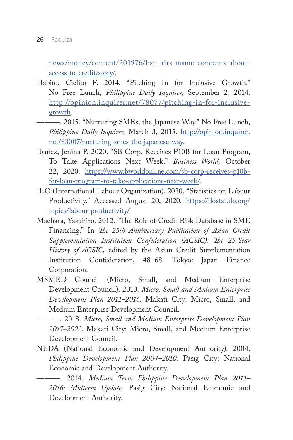[news/money/content/201976/bsp-airs-msme-concerns-about](https://www.gmanetwork.com/news/money/content/201976/bsp-airs-msme-concerns-about-access-to-credit/story/)[access-to-credit/story/.](https://www.gmanetwork.com/news/money/content/201976/bsp-airs-msme-concerns-about-access-to-credit/story/)

- Habito, Cielito F. 2014. "Pitching In for Inclusive Growth." No Free Lunch, *Philippine Daily Inquirer*, September 2, 2014. [http://opinion.inquirer.net/78077/pitching-in-for-inclusive](http://opinion.inquirer.net/78077/pitching-in-for-inclusive-growth)[growth.](http://opinion.inquirer.net/78077/pitching-in-for-inclusive-growth)
- ---- 2015. "Nurturing SMEs, the Japanese Way." No Free Lunch, *Philippine Daily Inquirer,* March 3, 2015. [http://opinion.inquirer.](http://opinion.inquirer.net/83007/nurturing-smes-the-japanese-way) [net/83007/nurturing-smes-the-japanese-way.](http://opinion.inquirer.net/83007/nurturing-smes-the-japanese-way)
- Ibañez, Jenina P. 2020. "SB Corp. Receives P10B for Loan Program, To Take Applications Next Week." *Business World,* October 22, 2020. [https://www.bworldonline.com/sb-corp-receives-p10b](https://www.bworldonline.com/sb-corp-receives-p10b-for-loan-program-to-take-applications-next-week/)[for-loan-program-to-take-applications-next-week/.](https://www.bworldonline.com/sb-corp-receives-p10b-for-loan-program-to-take-applications-next-week/)
- ILO (International Labour Organization). 2020. "Statistics on Labour Productivity." Accessed August 20, 2020. [https://ilostat.ilo.org/](https://ilostat.ilo.org/topics/labour-productivity/) [topics/labour-productivity/.](https://ilostat.ilo.org/topics/labour-productivity/)
- Maehara, Yasuhiro. 2012. "The Role of Credit Risk Database in SME Financing." In *The 25th Anniversary Publication of Asian Credit Supplementation Institution Confederation (ACSIC): The 25-Year History of ACSIC,* edited by the Asian Credit Supplementation Institution Confederation, 48–68. Tokyo: Japan Finance Corporation.
- MSMED Council (Micro, Small, and Medium Enterprise Development Council). 2010. *Micro, Small and Medium Enterprise Development Plan 2011–2016*. Makati City: Micro, Small, and Medium Enterprise Development Council.
- ———. 2018. *Micro, Small and Medium Enterprise Development Plan 2017–2022*. Makati City: Micro, Small, and Medium Enterprise Development Council.
- NEDA (National Economic and Development Authority). 2004. *Philippine Development Plan 2004–2010.* Pasig City: National Economic and Development Authority.
	- ———. 2014. *Medium Term Philippine Development Plan 2011– 2016: Midterm Update.* Pasig City: National Economic and Development Authority.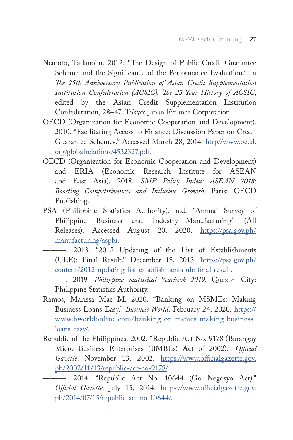- Nemoto, Tadanobu. 2012. "The Design of Public Credit Guarantee Scheme and the Significance of the Performance Evaluation." In *The 25th Anniversary Publication of Asian Credit Supplementation Institution Confederation (ACSIC): The 25-Year History of ACSIC*, edited by the Asian Credit Supplementation Institution Confederation, 28–47. Tokyo: Japan Finance Corporation.
- OECD (Organization for Economic Cooperation and Development). 2010. "Facilitating Access to Finance: Discussion Paper on Credit Guarantee Schemes." Accessed March 28, 2014. [http//www.oecd.](http://http//www.oecd.org/globalrelations/4532327.pdf) [org/globalrelations/4532327.pdf.](http://http//www.oecd.org/globalrelations/4532327.pdf)
- OECD (Organization for Economic Cooperation and Development) and ERIA (Economic Research Institute for ASEAN and East Asia). 2018. *SME Policy Index: ASEAN 2018; Boosting Competitiveness and Inclusive Growth.* Paris: OECD Publishing.
- PSA (Philippine Statistics Authority). n.d. "Annual Survey of Philippine Business and Industry—Manufacturing" (All Releases). Accessed August 20, 2020. [https://psa.gov.ph/](https://psa.gov.ph/manufacturing/aspbi) [manufacturing/aspbi.](https://psa.gov.ph/manufacturing/aspbi)
- ———. 2013. "2012 Updating of the List of Establishments (ULE): Final Result." December 18, 2013. [https://psa.gov.ph/](https://psa.gov.ph/content/2012-updating-list-establishments-ule-final-result) [content/2012-updating-list-establishments-ule-final-result.](https://psa.gov.ph/content/2012-updating-list-establishments-ule-final-result)
- ———. 2019. *Philippine Statistical Yearbook 2019.* Quezon City: Philippine Statistics Authority.
- Ramos, Marissa Mae M. 2020. "Banking on MSMEs: Making Business Loans Easy." *Business World*, February 24, 2020. [https://](https://www.bworldonline.com/banking-on-msmes-making-business-loans-easy/) [www.bworldonline.com/banking-on-msmes-making-business](https://www.bworldonline.com/banking-on-msmes-making-business-loans-easy/)[loans-easy/.](https://www.bworldonline.com/banking-on-msmes-making-business-loans-easy/)
- Republic of the Philippines. 2002. "Republic Act No. 9178 (Barangay Micro Business Enterprises (BMBEs) Act of 2002)." *Official Gazette,* November 13, 2002. [https://www.officialgazette.gov.](https://www.officialgazette.gov.ph/2002/11/13/republic-act-no-9178/) [ph/2002/11/13/republic-act-no-9178/.](https://www.officialgazette.gov.ph/2002/11/13/republic-act-no-9178/)
	- ———. 2014. "Republic Act No. 10644 (Go Negosyo Act)." *Official Gazette,* July 15, 2014. [https://www.officialgazette.gov.](https://www.officialgazette.gov.ph/2014/07/15/republic-act-no-10644/) [ph/2014/07/15/republic-act-no-10644/.](https://www.officialgazette.gov.ph/2014/07/15/republic-act-no-10644/)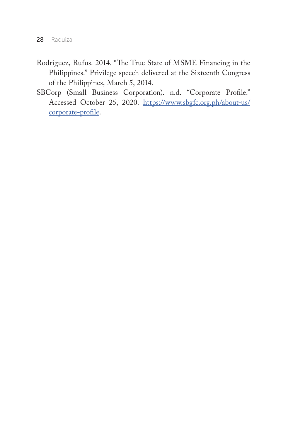- Rodriguez, Rufus. 2014. "The True State of MSME Financing in the Philippines." Privilege speech delivered at the Sixteenth Congress of the Philippines, March 5, 2014.
- SBCorp (Small Business Corporation). n.d. "Corporate Profile." Accessed October 25, 2020. [https://www.sbgfc.org.ph/about-us/](https://www.sbgfc.org.ph/about-us/corporate-profile) [corporate-profile.](https://www.sbgfc.org.ph/about-us/corporate-profile)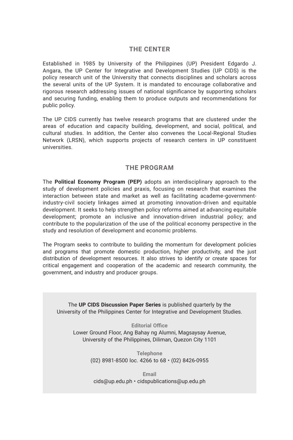#### **THE CENTER**

Established in 1985 by University of the Philippines (UP) President Edgardo J. Angara, the UP Center for Integrative and Development Studies (UP CIDS) is the policy research unit of the University that connects disciplines and scholars across the several units of the UP System. It is mandated to encourage collaborative and rigorous research addressing issues of national significance by supporting scholars and securing funding, enabling them to produce outputs and recommendations for public policy.

The UP CIDS currently has twelve research programs that are clustered under the areas of education and capacity building, development, and social, political, and cultural studies. In addition, the Center also convenes the Local-Regional Studies Network (LRSN), which supports projects of research centers in UP constituent universities.

#### **THE PROGRAM**

The **Political Economy Program (PEP)** adopts an interdisciplinary approach to the study of development policies and praxis, focusing on research that examines the interaction between state and market as well as facilitating academe-governmentindustry-civil society linkages aimed at promoting innovation-driven and equitable development. It seeks to help strengthen policy reforms aimed at advancing equitable development; promote an inclusive and innovation-driven industrial policy; and contribute to the popularization of the use of the political economy perspective in the study and resolution of development and economic problems.

The Program seeks to contribute to building the momentum for development policies and programs that promote domestic production, higher productivity, and the just distribution of development resources. It also strives to identify or create spaces for critical engagement and cooperation of the academic and research community, the government, and industry and producer groups.

The **UP CIDS Discussion Paper Series** is published quarterly by the University of the Philippines Center for Integrative and Development Studies.

**Editorial Office** Lower Ground Floor, Ang Bahay ng Alumni, Magsaysay Avenue, University of the Philippines, Diliman, Quezon City 1101

> **Telephone** (02) 8981-8500 loc. 4266 to 68 • (02) 8426-0955

**Email** cids@up.edu.ph • cidspublications@up.edu.ph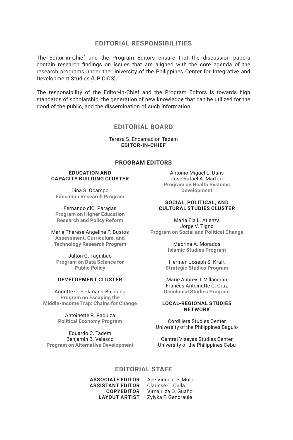#### **EDITORIAL RESPONSIBILITIES**

The Editor-in-Chief and the Program Editors ensure that the discussion papers contain research findings on issues that are aligned with the core agenda of the research programs under the University of the Philippines Center for Integrative and Development Studies (UP CIDS).

The responsibility of the Editor-in-Chief and the Program Editors is towards high standards of scholarship, the generation of new knowledge that can be utilized for the good of the public, and the dissemination of such information.

#### **EDITORIAL BOARD**

Teresa S. Encarnacion Tadem **EDITOR-IN-CHIEF**

#### **PROGRAM EDITORS**

#### **EDUCATION AND CAPACITY BUILDING CLUSTER**

Dina S. Ocampo **Education Research Program**

Fernando dlC. Paragas **Program on Higher Education Research and Policy Reform**

Marie Therese Angeline P. Bustos **Assessment, Curriculum, and Technology Research Program**

Jalton G. Taguibao **Program on Data Science for Public Policy**

#### **DEVELOPMENT CLUSTER**

Annette O. Pelkmans-Balaoing **Program on Escaping the Middle-Income Trap: Chains for Change**

> Antoinette R. Raquiza **Political Economy Program**

Eduardo C. Tadem Benjamin B. Velasco **Program on Alternative Development**

Antonio Miguel L. Dans Jose Rafael A. Marfori **Program on Health Systems Development**

#### **SOCIAL, POLITICAL, AND CULTURAL STUDIES CLUSTER**

Maria Ela L. Atienza Jorge V. Tigno **Program on Social and Political Change**

> Macrina A. Morados **Islamic Studies Program**

Herman Joseph S. Kraft **Strategic Studies Program**

Marie Aubrey J. Villaceran Frances Antoinette C. Cruz **Decolonial Studies Program**

#### **LOCAL-REGIONAL STUDIES NETWORK**

Cordillera Studies Center University of the Philippines Baguio

Central Visayas Studies Center University of the Philippines Cebu

#### **EDITORIAL STAFF**

**ASSOCIATE EDITOR** Ace Vincent P. Molo **ASSISTANT EDITOR** Clarisse C. Culla **COPYEDITOR** Virna Liza O. Guaño **LAYOUT ARTIST** Zylyka F. Gendraule